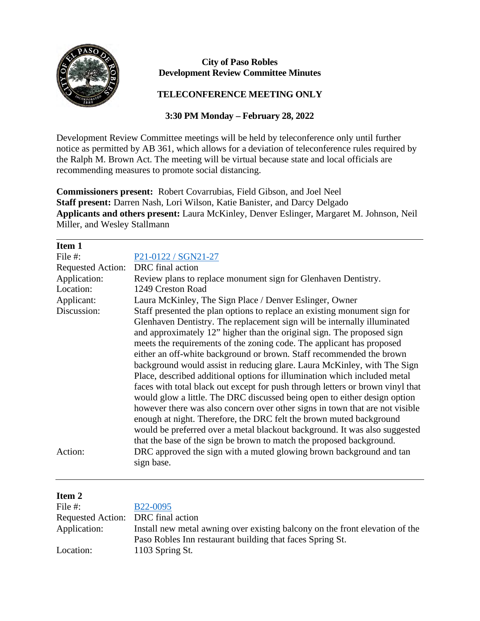

### **City of Paso Robles Development Review Committee Minutes**

## **TELECONFERENCE MEETING ONLY**

# **3:30 PM Monday – February 28, 2022**

Development Review Committee meetings will be held by teleconference only until further notice as permitted by AB 361, which allows for a deviation of teleconference rules required by the Ralph M. Brown Act. The meeting will be virtual because state and local officials are recommending measures to promote social distancing.

**Commissioners present:** Robert Covarrubias, Field Gibson, and Joel Neel **Staff present:** Darren Nash, Lori Wilson, Katie Banister, and Darcy Delgado **Applicants and others present:** Laura McKinley, Denver Eslinger, Margaret M. Johnson, Neil Miller, and Wesley Stallmann

| Item 1                   |                                                                                   |
|--------------------------|-----------------------------------------------------------------------------------|
| File #:                  | P21-0122 / SGN21-27                                                               |
| <b>Requested Action:</b> | DRC final action                                                                  |
| Application:             | Review plans to replace monument sign for Glenhaven Dentistry.                    |
| Location:                | 1249 Creston Road                                                                 |
| Applicant:               | Laura McKinley, The Sign Place / Denver Eslinger, Owner                           |
| Discussion:              | Staff presented the plan options to replace an existing monument sign for         |
|                          | Glenhaven Dentistry. The replacement sign will be internally illuminated          |
|                          | and approximately 12" higher than the original sign. The proposed sign            |
|                          | meets the requirements of the zoning code. The applicant has proposed             |
|                          | either an off-white background or brown. Staff recommended the brown              |
|                          | background would assist in reducing glare. Laura McKinley, with The Sign          |
|                          | Place, described additional options for illumination which included metal         |
|                          | faces with total black out except for push through letters or brown vinyl that    |
|                          | would glow a little. The DRC discussed being open to either design option         |
|                          | however there was also concern over other signs in town that are not visible      |
|                          | enough at night. Therefore, the DRC felt the brown muted background               |
|                          | would be preferred over a metal blackout background. It was also suggested        |
|                          | that the base of the sign be brown to match the proposed background.              |
| Action:                  | DRC approved the sign with a muted glowing brown background and tan<br>sign base. |

#### **Item 2**

| File $#$ :                         | <b>B22-0095</b>                                                              |
|------------------------------------|------------------------------------------------------------------------------|
| Requested Action: DRC final action |                                                                              |
| Application:                       | Install new metal awning over existing balcony on the front elevation of the |
|                                    | Paso Robles Inn restaurant building that faces Spring St.                    |
| Location:                          | 1103 Spring St.                                                              |